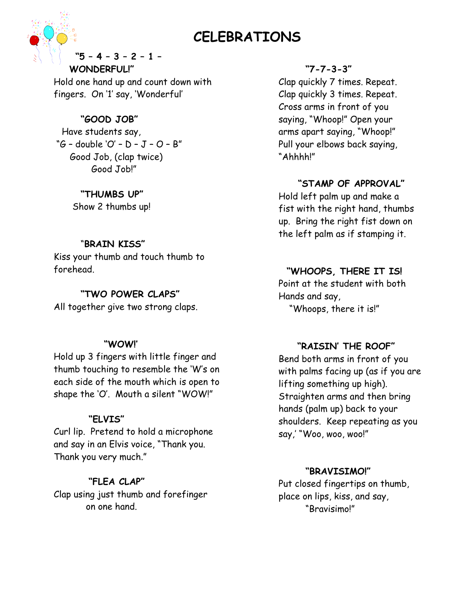#### **CELEBRATIONS** ľ



### **"5 – 4 – 3 – 2 – 1 – WONDERFUL!"**

Hold one hand up and count down with fingers. On '1' say, 'Wonderful'

# **"GOOD JOB"**

 Have students say, "G – double 'O' – D – J – O – B" Good Job, (clap twice) Good Job!"

**"THUMBS UP"**

Show 2 thumbs up!

# "**BRAIN KISS"**

Kiss your thumb and touch thumb to forehead.

# **"TWO POWER CLAPS"**

All together give two strong claps.

# **"WOW!'**

Hold up 3 fingers with little finger and thumb touching to resemble the 'W's on each side of the mouth which is open to shape the 'O'. Mouth a silent "WOW!"

# **"ELVIS"**

Curl lip. Pretend to hold a microphone and say in an Elvis voice, "Thank you. Thank you very much."

# **"FLEA CLAP"**

Clap using just thumb and forefinger on one hand.

# **"7-7-3-3"**

Clap quickly 7 times. Repeat. Clap quickly 3 times. Repeat. Cross arms in front of you saying, "Whoop!" Open your arms apart saying, "Whoop!" Pull your elbows back saying, "Ahhhh!"

# **"STAMP OF APPROVAL"**

Hold left palm up and make a fist with the right hand, thumbs up. Bring the right fist down on the left palm as if stamping it.

# **"WHOOPS, THERE IT IS!**

Point at the student with both Hands and say, "Whoops, there it is!"

# **"RAISIN' THE ROOF"**

Bend both arms in front of you with palms facing up (as if you are lifting something up high). Straighten arms and then bring hands (palm up) back to your shoulders. Keep repeating as you say,' "Woo, woo, woo!"

## **"BRAVISIMO!"**

Put closed fingertips on thumb, place on lips, kiss, and say, "Bravisimo!"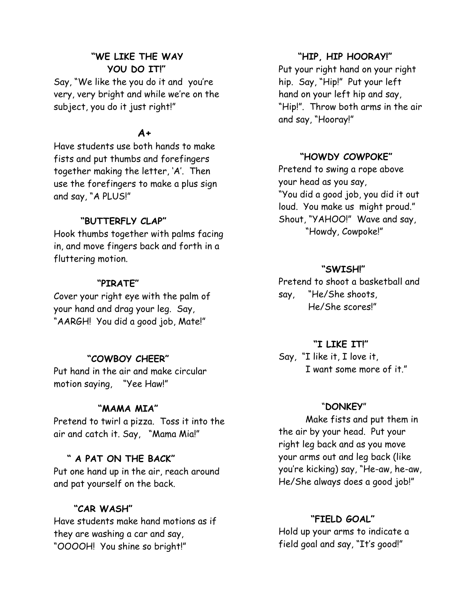## **"WE LIKE THE WAY YOU DO IT!"**

Say, "We like the you do it and you're very, very bright and while we're on the subject, you do it just right!"

## **A+**

Have students use both hands to make fists and put thumbs and forefingers together making the letter, 'A'. Then use the forefingers to make a plus sign and say, "A PLUS!"

## **"BUTTERFLY CLAP"**

Hook thumbs together with palms facing in, and move fingers back and forth in a fluttering motion.

### **"PIRATE"**

Cover your right eye with the palm of your hand and drag your leg. Say, "AARGH! You did a good job, Mate!"

## **"COWBOY CHEER"**

Put hand in the air and make circular motion saying, "Yee Haw!"

### **"MAMA MIA"**

Pretend to twirl a pizza. Toss it into the air and catch it. Say, "Mama Mia!"

#### **" A PAT ON THE BACK"**

Put one hand up in the air, reach around and pat yourself on the back.

# **"CAR WASH"**

Have students make hand motions as if they are washing a car and say, "OOOOH! You shine so bright!"

#### **"HIP, HIP HOORAY!"**

Put your right hand on your right hip. Say, "Hip!" Put your left hand on your left hip and say, "Hip!". Throw both arms in the air and say, "Hooray!"

### **"HOWDY COWPOKE"**

Pretend to swing a rope above your head as you say, "You did a good job, you did it out loud. You make us might proud." Shout, "YAHOO!" Wave and say, "Howdy, Cowpoke!"

#### **"SWISH!"**

Pretend to shoot a basketball and say, "He/She shoots, He/She scores!"

#### **"I LIKE IT!"**

Say, "I like it, I love it, I want some more of it."

#### "**DONKEY**"

Make fists and put them in the air by your head. Put your right leg back and as you move your arms out and leg back (like you're kicking) say, "He-aw, he-aw, He/She always does a good job!"

### **"FIELD GOAL"**

Hold up your arms to indicate a field goal and say, "It's good!"